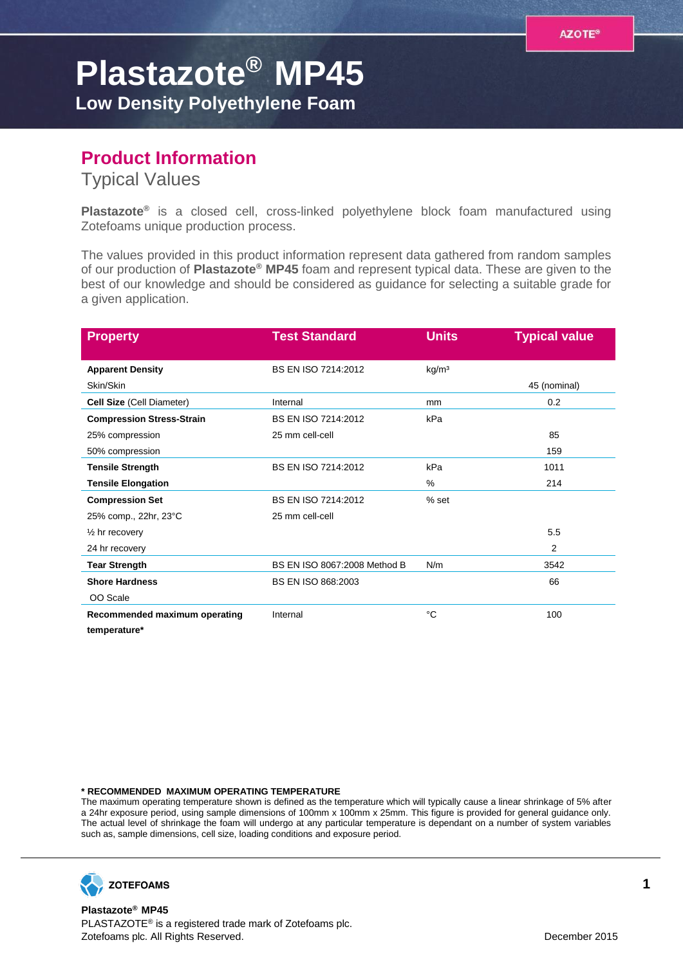## **Plastazote® MP45**

**Low Density Polyethylene Foam**

## **Product Information**

Typical Values

**Plastazote®** is a closed cell, cross-linked polyethylene block foam manufactured using Zotefoams unique production process.

The values provided in this product information represent data gathered from random samples of our production of **Plastazote® MP45** foam and represent typical data. These are given to the best of our knowledge and should be considered as guidance for selecting a suitable grade for a given application.

| <b>Property</b>                  | <b>Test Standard</b>         | <b>Units</b>      | <b>Typical value</b> |
|----------------------------------|------------------------------|-------------------|----------------------|
| <b>Apparent Density</b>          | BS EN ISO 7214:2012          | kg/m <sup>3</sup> |                      |
| Skin/Skin                        |                              |                   | 45 (nominal)         |
| <b>Cell Size (Cell Diameter)</b> | Internal                     | mm                | 0.2                  |
| <b>Compression Stress-Strain</b> | BS EN ISO 7214:2012          | kPa               |                      |
| 25% compression                  | 25 mm cell-cell              |                   | 85                   |
| 50% compression                  |                              |                   | 159                  |
| <b>Tensile Strength</b>          | BS EN ISO 7214:2012          | kPa               | 1011                 |
| <b>Tensile Elongation</b>        |                              | %                 | 214                  |
| <b>Compression Set</b>           | BS EN ISO 7214:2012          | % set             |                      |
| 25% comp., 22hr, 23°C            | 25 mm cell-cell              |                   |                      |
| $\frac{1}{2}$ hr recovery        |                              |                   | 5.5                  |
| 24 hr recovery                   |                              |                   | 2                    |
| <b>Tear Strength</b>             | BS EN ISO 8067:2008 Method B | N/m               | 3542                 |
| <b>Shore Hardness</b>            | <b>BS EN ISO 868:2003</b>    |                   | 66                   |
| OO Scale                         |                              |                   |                      |
| Recommended maximum operating    | Internal                     | °C                | 100                  |
| temperature*                     |                              |                   |                      |

**\* RECOMMENDED MAXIMUM OPERATING TEMPERATURE**

The maximum operating temperature shown is defined as the temperature which will typically cause a linear shrinkage of 5% after a 24hr exposure period, using sample dimensions of 100mm x 100mm x 25mm. This figure is provided for general guidance only. The actual level of shrinkage the foam will undergo at any particular temperature is dependant on a number of system variables such as, sample dimensions, cell size, loading conditions and exposure period.



**Plastazote® MP45** PLASTAZOTE® is a registered trade mark of Zotefoams plc. Zotefoams plc. All Rights Reserved. December 2015